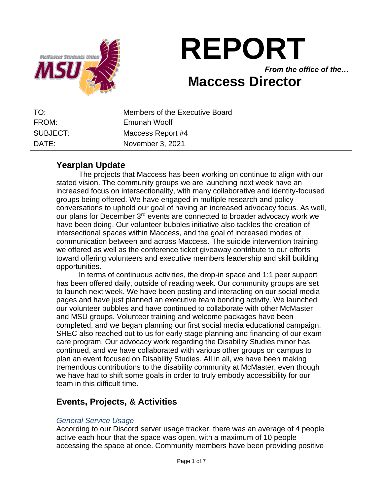

# **REPORT**

*From the office of the…* **Maccess Director**

# TO: Members of the Executive Board FROM: Emunah Woolf SUBJECT: Maccess Report #4 DATE: November 3, 2021

# **Yearplan Update**

The projects that Maccess has been working on continue to align with our stated vision. The community groups we are launching next week have an increased focus on intersectionality, with many collaborative and identity-focused groups being offered. We have engaged in multiple research and policy conversations to uphold our goal of having an increased advocacy focus. As well, our plans for December 3<sup>rd</sup> events are connected to broader advocacy work we have been doing. Our volunteer bubbles initiative also tackles the creation of intersectional spaces within Maccess, and the goal of increased modes of communication between and across Maccess. The suicide intervention training we offered as well as the conference ticket giveaway contribute to our efforts toward offering volunteers and executive members leadership and skill building opportunities.

In terms of continuous activities, the drop-in space and 1:1 peer support has been offered daily, outside of reading week. Our community groups are set to launch next week. We have been posting and interacting on our social media pages and have just planned an executive team bonding activity. We launched our volunteer bubbles and have continued to collaborate with other McMaster and MSU groups. Volunteer training and welcome packages have been completed, and we began planning our first social media educational campaign. SHEC also reached out to us for early stage planning and financing of our exam care program. Our advocacy work regarding the Disability Studies minor has continued, and we have collaborated with various other groups on campus to plan an event focused on Disability Studies. All in all, we have been making tremendous contributions to the disability community at McMaster, even though we have had to shift some goals in order to truly embody accessibility for our team in this difficult time.

# **Events, Projects, & Activities**

## *General Service Usage*

According to our Discord server usage tracker, there was an average of 4 people active each hour that the space was open, with a maximum of 10 people accessing the space at once. Community members have been providing positive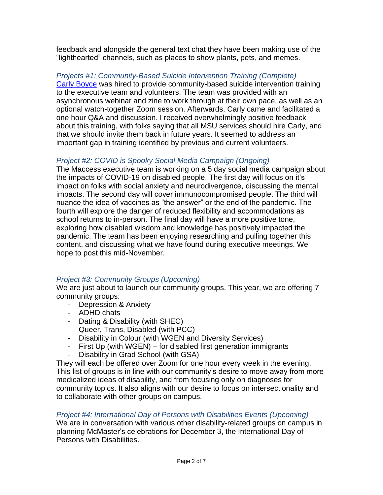feedback and alongside the general text chat they have been making use of the "lighthearted" channels, such as places to show plants, pets, and memes.

## *Projects #1: Community-Based Suicide Intervention Training (Complete)*

[Carly Boyce](https://www.tinylantern.net/) was hired to provide community-based suicide intervention training to the executive team and volunteers. The team was provided with an asynchronous webinar and zine to work through at their own pace, as well as an optional watch-together Zoom session. Afterwards, Carly came and facilitated a one hour Q&A and discussion. I received overwhelmingly positive feedback about this training, with folks saying that all MSU services should hire Carly, and that we should invite them back in future years. It seemed to address an important gap in training identified by previous and current volunteers.

## *Project #2: COVID is Spooky Social Media Campaign (Ongoing)*

The Maccess executive team is working on a 5 day social media campaign about the impacts of COVID-19 on disabled people. The first day will focus on it's impact on folks with social anxiety and neurodivergence, discussing the mental impacts. The second day will cover immunocompromised people. The third will nuance the idea of vaccines as "the answer" or the end of the pandemic. The fourth will explore the danger of reduced flexibility and accommodations as school returns to in-person. The final day will have a more positive tone, exploring how disabled wisdom and knowledge has positively impacted the pandemic. The team has been enjoying researching and pulling together this content, and discussing what we have found during executive meetings. We hope to post this mid-November.

## *Project #3: Community Groups (Upcoming)*

We are just about to launch our community groups. This year, we are offering 7 community groups:

- Depression & Anxiety
- ADHD chats
- Dating & Disability (with SHEC)
- Queer, Trans, Disabled (with PCC)
- Disability in Colour (with WGEN and Diversity Services)
- First Up (with WGEN) for disabled first generation immigrants
- Disability in Grad School (with GSA)

They will each be offered over Zoom for one hour every week in the evening. This list of groups is in line with our community's desire to move away from more medicalized ideas of disability, and from focusing only on diagnoses for community topics. It also aligns with our desire to focus on intersectionality and to collaborate with other groups on campus.

### *Project #4: International Day of Persons with Disabilities Events (Upcoming)*

We are in conversation with various other disability-related groups on campus in planning McMaster's celebrations for December 3, the International Day of Persons with Disabilities.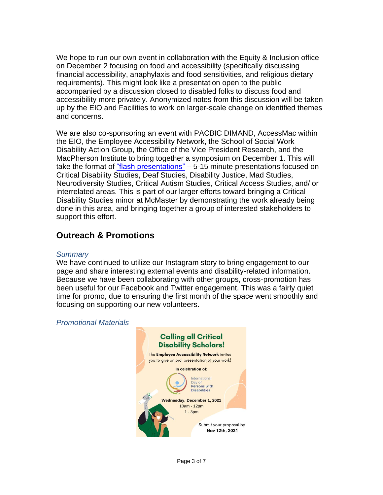We hope to run our own event in collaboration with the Equity & Inclusion office on December 2 focusing on food and accessibility (specifically discussing financial accessibility, anaphylaxis and food sensitivities, and religious dietary requirements). This might look like a presentation open to the public accompanied by a discussion closed to disabled folks to discuss food and accessibility more privately. Anonymized notes from this discussion will be taken up by the EIO and Facilities to work on larger-scale change on identified themes and concerns.

We are also co-sponsoring an event with PACBIC DIMAND, AccessMac within the EIO, the Employee Accessibility Network, the School of Social Work Disability Action Group, the Office of the Vice President Research, and the MacPherson Institute to bring together a symposium on December 1. This will take the format of ["flash presentations"](https://research.mcmaster.ca/announcements/call-for-flash-presentations-critical-disability-research-teaching-cluster/) – 5-15 minute presentations focused on Critical Disability Studies, Deaf Studies, Disability Justice, Mad Studies, Neurodiversity Studies, Critical Autism Studies, Critical Access Studies, and/ or interrelated areas. This is part of our larger efforts toward bringing a Critical Disability Studies minor at McMaster by demonstrating the work already being done in this area, and bringing together a group of interested stakeholders to support this effort.

# **Outreach & Promotions**

#### *Summary*

We have continued to utilize our Instagram story to bring engagement to our page and share interesting external events and disability-related information. Because we have been collaborating with other groups, cross-promotion has been useful for our Facebook and Twitter engagement. This was a fairly quiet time for promo, due to ensuring the first month of the space went smoothly and focusing on supporting our new volunteers.

#### *Promotional Materials*

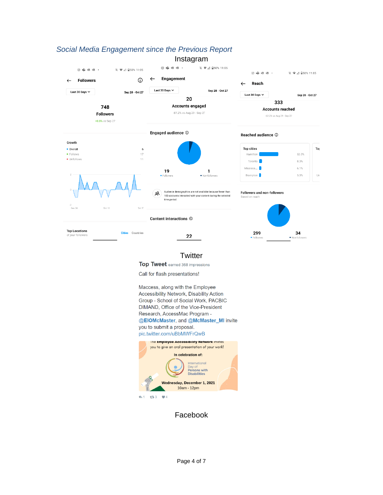

# *Social Media Engagement since the Previous Report*

Instagram

#### **Twitter**

Top Tweet earned 368 impressions

Call for flash presentations!

Maccess, along with the Employee Accessibility Network, Disability Action Group - School of Social Work, PACBIC DIMAND, Office of the Vice-President Research, AccessMac Program -@EIOMcMaster, and @McMaster\_MI invite you to submit a proposal. pic.twitter.com/uBbMWFrQwB



 $13 - 3$  $\bullet$ 4

Facebook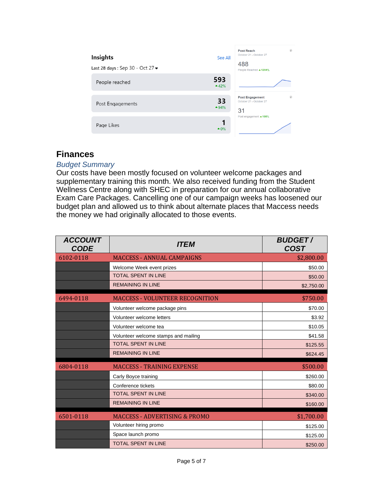| <b>Insights</b><br>Last 28 days: Sep 30 - Oct 27 $\blacktriangledown$ | See All       | $\left  i\right\rangle$<br>Post Reach<br>October 21 - October 27<br>488<br>People Reached ▲ 1294% |
|-----------------------------------------------------------------------|---------------|---------------------------------------------------------------------------------------------------|
| People reached                                                        | 593<br>$-42%$ |                                                                                                   |
| Post Engagements                                                      | 33<br>$-94%$  | $\left  i\right\rangle$<br><b>Post Engagement</b><br>October 21 - October 27<br>31                |
| Page Likes                                                            | $-0\%$        | Post engagement ▲100%                                                                             |

# **Finances**

## *Budget Summary*

Our costs have been mostly focused on volunteer welcome packages and supplementary training this month. We also received funding from the Student Wellness Centre along with SHEC in preparation for our annual collaborative Exam Care Packages. Cancelling one of our campaign weeks has loosened our budget plan and allowed us to think about alternate places that Maccess needs the money we had originally allocated to those events.

| <b>ACCOUNT</b><br>CODE | <i><b>ITEM</b></i>                       | <b>BUDGET/</b><br><b>COST</b> |
|------------------------|------------------------------------------|-------------------------------|
| 6102-0118              | <b>MACCESS - ANNUAL CAMPAIGNS</b>        | \$2,800.00                    |
|                        | Welcome Week event prizes                | \$50.00                       |
|                        | <b>TOTAL SPENT IN LINE</b>               | \$50.00                       |
|                        | <b>REMAINING IN LINE</b>                 | \$2,750.00                    |
| 6494-0118              | <b>MACCESS - VOLUNTEER RECOGNITION</b>   | \$750.00                      |
|                        | Volunteer welcome package pins           | \$70.00                       |
|                        | Volunteer welcome letters                | \$3.92                        |
|                        | Volunteer welcome tea                    | \$10.05                       |
|                        | Volunteer welcome stamps and mailing     | \$41.58                       |
|                        | <b>TOTAL SPENT IN LINE</b>               | \$125.55                      |
|                        | <b>REMAINING IN LINE</b>                 | \$624.45                      |
| 6804-0118              | <b>MACCESS - TRAINING EXPENSE</b>        | \$500.00                      |
|                        | Carly Boyce training                     | \$260.00                      |
|                        | Conference tickets                       | \$80.00                       |
|                        | <b>TOTAL SPENT IN LINE</b>               | \$340.00                      |
|                        | <b>REMAINING IN LINE</b>                 | \$160.00                      |
| 6501-0118              | <b>MACCESS - ADVERTISING &amp; PROMO</b> | \$1,700.00                    |
|                        | Volunteer hiring promo                   | \$125.00                      |
|                        | Space launch promo                       | \$125.00                      |
|                        | <b>TOTAL SPENT IN LINE</b>               | \$250.00                      |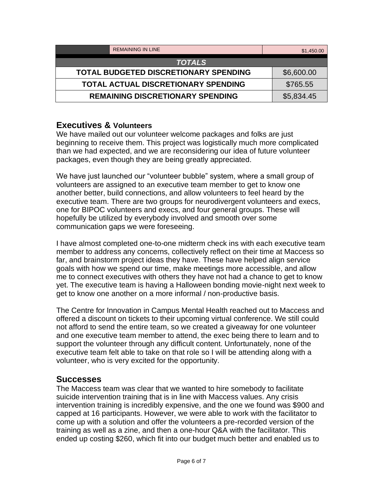| <b>REMAINING IN LINE</b>                     | \$1,450.00 |
|----------------------------------------------|------------|
| <b>TOTALS</b>                                |            |
| <b>TOTAL BUDGETED DISCRETIONARY SPENDING</b> | \$6,600.00 |
| <b>TOTAL ACTUAL DISCRETIONARY SPENDING</b>   | \$765.55   |
| <b>REMAINING DISCRETIONARY SPENDING</b>      | \$5,834.45 |

## **Executives & Volunteers**

We have mailed out our volunteer welcome packages and folks are just beginning to receive them. This project was logistically much more complicated than we had expected, and we are reconsidering our idea of future volunteer packages, even though they are being greatly appreciated.

We have just launched our "volunteer bubble" system, where a small group of volunteers are assigned to an executive team member to get to know one another better, build connections, and allow volunteers to feel heard by the executive team. There are two groups for neurodivergent volunteers and execs, one for BIPOC volunteers and execs, and four general groups. These will hopefully be utilized by everybody involved and smooth over some communication gaps we were foreseeing.

I have almost completed one-to-one midterm check ins with each executive team member to address any concerns, collectively reflect on their time at Maccess so far, and brainstorm project ideas they have. These have helped align service goals with how we spend our time, make meetings more accessible, and allow me to connect executives with others they have not had a chance to get to know yet. The executive team is having a Halloween bonding movie-night next week to get to know one another on a more informal / non-productive basis.

The Centre for Innovation in Campus Mental Health reached out to Maccess and offered a discount on tickets to their upcoming virtual conference. We still could not afford to send the entire team, so we created a giveaway for one volunteer and one executive team member to attend, the exec being there to learn and to support the volunteer through any difficult content. Unfortunately, none of the executive team felt able to take on that role so I will be attending along with a volunteer, who is very excited for the opportunity.

## **Successes**

The Maccess team was clear that we wanted to hire somebody to facilitate suicide intervention training that is in line with Maccess values. Any crisis intervention training is incredibly expensive, and the one we found was \$900 and capped at 16 participants. However, we were able to work with the facilitator to come up with a solution and offer the volunteers a pre-recorded version of the training as well as a zine, and then a one-hour Q&A with the facilitator. This ended up costing \$260, which fit into our budget much better and enabled us to